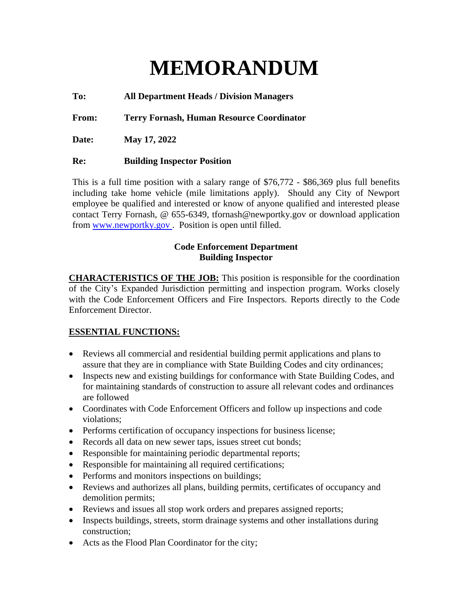# **MEMORANDUM**

**To: All Department Heads / Division Managers**

**From: Terry Fornash, Human Resource Coordinator**

**Date: May 17, 2022**

#### **Re: Building Inspector Position**

This is a full time position with a salary range of \$76,772 - \$86,369 plus full benefits including take home vehicle (mile limitations apply). Should any City of Newport employee be qualified and interested or know of anyone qualified and interested please contact Terry Fornash, @ 655-6349, tfornash@newportky.gov or download application from www.newportky.gov . Position is open until filled.

#### **Code Enforcement Department Building Inspector**

**CHARACTERISTICS OF THE JOB:** This position is responsible for the coordination of the City's Expanded Jurisdiction permitting and inspection program. Works closely with the Code Enforcement Officers and Fire Inspectors. Reports directly to the Code Enforcement Director.

#### **ESSENTIAL FUNCTIONS:**

- Reviews all commercial and residential building permit applications and plans to assure that they are in compliance with State Building Codes and city ordinances;
- Inspects new and existing buildings for conformance with State Building Codes, and for maintaining standards of construction to assure all relevant codes and ordinances are followed
- Coordinates with Code Enforcement Officers and follow up inspections and code violations;
- Performs certification of occupancy inspections for business license;
- Records all data on new sewer taps, issues street cut bonds;
- Responsible for maintaining periodic departmental reports;
- Responsible for maintaining all required certifications;
- Performs and monitors inspections on buildings;
- Reviews and authorizes all plans, building permits, certificates of occupancy and demolition permits;
- Reviews and issues all stop work orders and prepares assigned reports;
- Inspects buildings, streets, storm drainage systems and other installations during construction;
- Acts as the Flood Plan Coordinator for the city;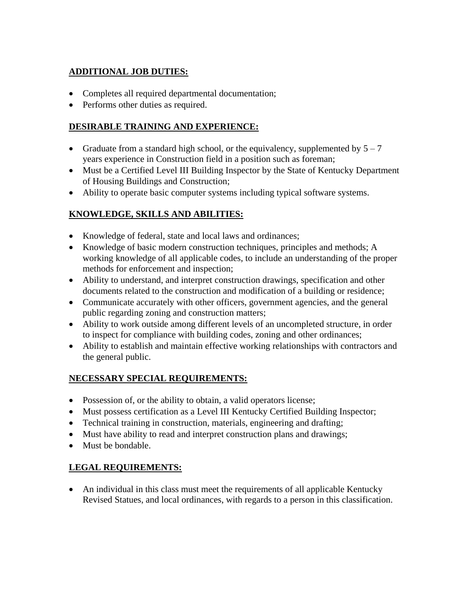## **ADDITIONAL JOB DUTIES:**

- Completes all required departmental documentation;
- Performs other duties as required.

## **DESIRABLE TRAINING AND EXPERIENCE:**

- Graduate from a standard high school, or the equivalency, supplemented by  $5 7$ years experience in Construction field in a position such as foreman;
- Must be a Certified Level III Building Inspector by the State of Kentucky Department of Housing Buildings and Construction;
- Ability to operate basic computer systems including typical software systems.

## **KNOWLEDGE, SKILLS AND ABILITIES:**

- Knowledge of federal, state and local laws and ordinances;
- Knowledge of basic modern construction techniques, principles and methods; A working knowledge of all applicable codes, to include an understanding of the proper methods for enforcement and inspection;
- Ability to understand, and interpret construction drawings, specification and other documents related to the construction and modification of a building or residence;
- Communicate accurately with other officers, government agencies, and the general public regarding zoning and construction matters;
- Ability to work outside among different levels of an uncompleted structure, in order to inspect for compliance with building codes, zoning and other ordinances;
- Ability to establish and maintain effective working relationships with contractors and the general public.

#### **NECESSARY SPECIAL REQUIREMENTS:**

- Possession of, or the ability to obtain, a valid operators license;
- Must possess certification as a Level III Kentucky Certified Building Inspector;
- Technical training in construction, materials, engineering and drafting;
- Must have ability to read and interpret construction plans and drawings;
- Must be bondable.

#### **LEGAL REQUIREMENTS:**

• An individual in this class must meet the requirements of all applicable Kentucky Revised Statues, and local ordinances, with regards to a person in this classification.